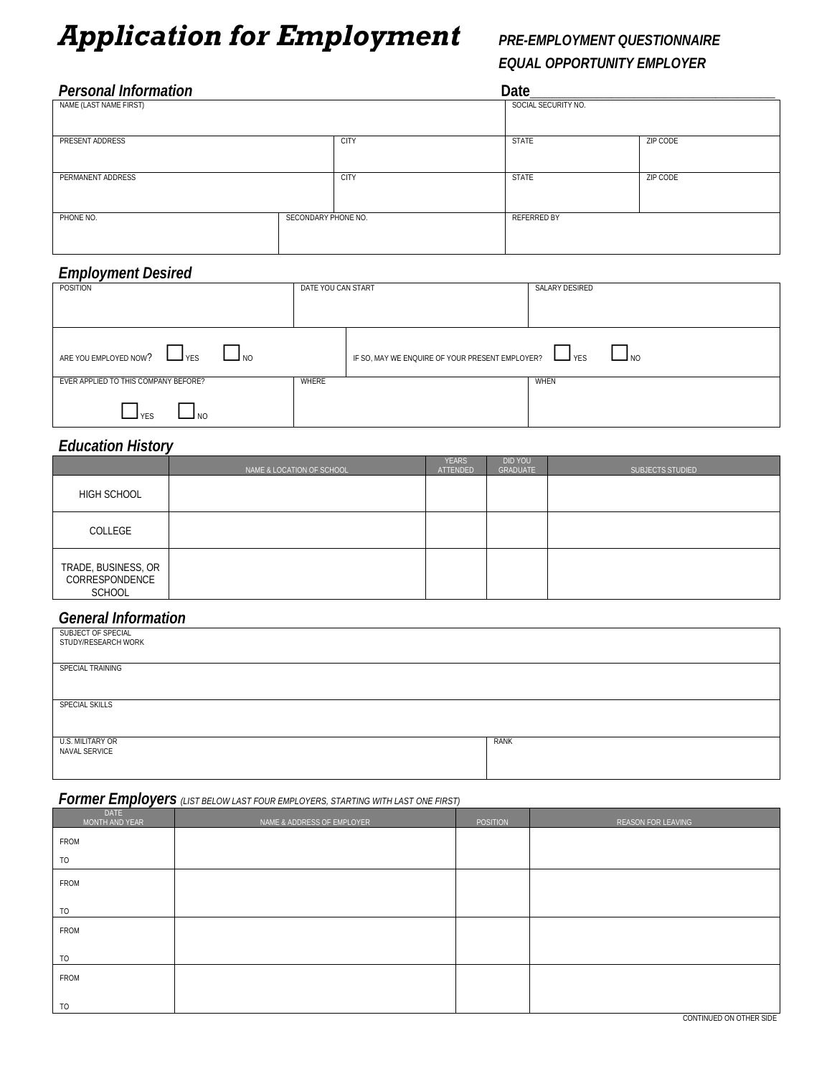# *Application for Employment PRE-EMPLOYMENT QUESTIONNAIRE*

# *EQUAL OPPORTUNITY EMPLOYER*

| <b>Personal Information</b> |                     |                     | Date         |          |  |
|-----------------------------|---------------------|---------------------|--------------|----------|--|
| NAME (LAST NAME FIRST)      |                     | SOCIAL SECURITY NO. |              |          |  |
| PRESENT ADDRESS             |                     | <b>CITY</b>         | <b>STATE</b> | ZIP CODE |  |
| PERMANENT ADDRESS           |                     | <b>CITY</b>         | <b>STATE</b> | ZIP CODE |  |
| PHONE NO.                   | SECONDARY PHONE NO. |                     | REFERRED BY  |          |  |

## *Employment Desired*

| POSITION                                                   | DATE YOU CAN START |                                                 | SALARY DESIRED |
|------------------------------------------------------------|--------------------|-------------------------------------------------|----------------|
| ARE YOU EMPLOYED NOW?<br>$\Box$ NO                         |                    | IF SO, MAY WE ENQUIRE OF YOUR PRESENT EMPLOYER? | ⊿ NO           |
| EVER APPLIED TO THIS COMPANY BEFORE?<br><b>YFS</b><br>I NO | WHERE              |                                                 | WHEN           |

## *Education History*

|                                                        | NAME & LOCATION OF SCHOOL | <b>YEARS</b><br>ATTENDED | DID YOU<br>GRADUATE | SUBJECTS STUDIED |
|--------------------------------------------------------|---------------------------|--------------------------|---------------------|------------------|
| HIGH SCHOOL                                            |                           |                          |                     |                  |
| COLLEGE                                                |                           |                          |                     |                  |
| TRADE, BUSINESS, OR<br>CORRESPONDENCE<br><b>SCHOOL</b> |                           |                          |                     |                  |

## *General Information*

| SUBJECT OF SPECIAL<br>STUDY/RESEARCH WORK |      |
|-------------------------------------------|------|
| SPECIAL TRAINING                          |      |
|                                           |      |
|                                           |      |
|                                           |      |
| <b>SPECIAL SKILLS</b>                     |      |
|                                           |      |
|                                           |      |
|                                           |      |
| U.S. MILITARY OR                          | RANK |
| NAVAL SERVICE                             |      |
|                                           |      |
|                                           |      |

#### *Former Employers (LIST BELOW LAST FOUR EMPLOYERS, STARTING WITH LAST ONE FIRST)*

| DATE<br>MONTH AND YEAR | NAME & ADDRESS OF EMPLOYER | <b>POSITION</b> | REASON FOR LEAVING |
|------------------------|----------------------------|-----------------|--------------------|
| FROM                   |                            |                 |                    |
| <b>TO</b>              |                            |                 |                    |
| FROM                   |                            |                 |                    |
| TO                     |                            |                 |                    |
| FROM                   |                            |                 |                    |
|                        |                            |                 |                    |
| TO                     |                            |                 |                    |
| FROM                   |                            |                 |                    |
| TO                     |                            |                 |                    |